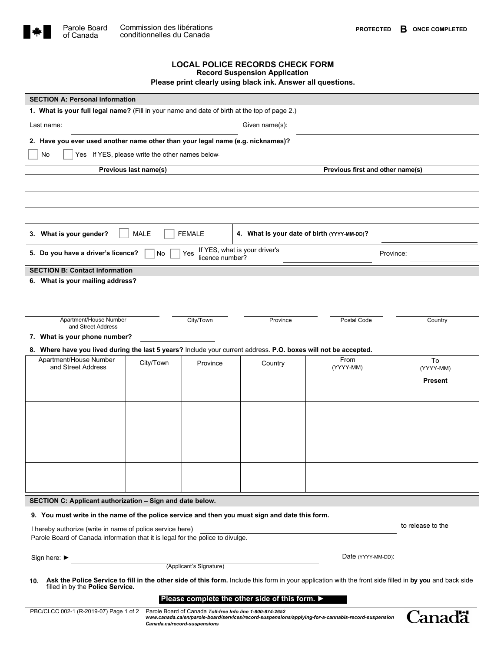

## **LOCAL POLICE RECORDS CHECK FORM Record Suspension Application**

**Please print clearly using black ink. Answer all questions.**

| <b>SECTION A: Personal information</b>                                                                          |                                                 |                        |                                                           |                                                                                                     |                                                                                                                                                         |  |  |  |  |  |
|-----------------------------------------------------------------------------------------------------------------|-------------------------------------------------|------------------------|-----------------------------------------------------------|-----------------------------------------------------------------------------------------------------|---------------------------------------------------------------------------------------------------------------------------------------------------------|--|--|--|--|--|
| 1. What is your full legal name? (Fill in your name and date of birth at the top of page 2.)                    |                                                 |                        |                                                           |                                                                                                     |                                                                                                                                                         |  |  |  |  |  |
| Last name:<br>Given name(s):                                                                                    |                                                 |                        |                                                           |                                                                                                     |                                                                                                                                                         |  |  |  |  |  |
| 2. Have you ever used another name other than your legal name (e.g. nicknames)?                                 |                                                 |                        |                                                           |                                                                                                     |                                                                                                                                                         |  |  |  |  |  |
| No                                                                                                              | Yes If YES, please write the other names below. |                        |                                                           |                                                                                                     |                                                                                                                                                         |  |  |  |  |  |
|                                                                                                                 | Previous last name(s)                           |                        |                                                           | Previous first and other name(s)                                                                    |                                                                                                                                                         |  |  |  |  |  |
|                                                                                                                 |                                                 |                        |                                                           |                                                                                                     |                                                                                                                                                         |  |  |  |  |  |
|                                                                                                                 |                                                 |                        |                                                           |                                                                                                     |                                                                                                                                                         |  |  |  |  |  |
|                                                                                                                 |                                                 |                        |                                                           |                                                                                                     |                                                                                                                                                         |  |  |  |  |  |
| 3. What is your gender?                                                                                         | MALE                                            | <b>FEMALE</b>          |                                                           | 4. What is your date of birth (YYYY-MM-DD)?                                                         |                                                                                                                                                         |  |  |  |  |  |
| 5. Do you have a driver's licence?                                                                              | No                                              | Yes<br>licence number? | If YES, what is your driver's                             | Province:                                                                                           |                                                                                                                                                         |  |  |  |  |  |
| <b>SECTION B: Contact information</b>                                                                           |                                                 |                        |                                                           |                                                                                                     |                                                                                                                                                         |  |  |  |  |  |
| 6. What is your mailing address?                                                                                |                                                 |                        |                                                           |                                                                                                     |                                                                                                                                                         |  |  |  |  |  |
|                                                                                                                 |                                                 |                        |                                                           |                                                                                                     |                                                                                                                                                         |  |  |  |  |  |
|                                                                                                                 |                                                 |                        |                                                           |                                                                                                     |                                                                                                                                                         |  |  |  |  |  |
| Apartment/House Number<br>and Street Address                                                                    |                                                 | City/Town              | Province                                                  | Postal Code                                                                                         | Country                                                                                                                                                 |  |  |  |  |  |
| 7. What is your phone number?                                                                                   |                                                 |                        |                                                           |                                                                                                     |                                                                                                                                                         |  |  |  |  |  |
| 8. Where have you lived during the last 5 years? Include your current address. P.O. boxes will not be accepted. |                                                 |                        |                                                           |                                                                                                     |                                                                                                                                                         |  |  |  |  |  |
| Apartment/House Number<br>and Street Address                                                                    | City/Town                                       | Province               | Country                                                   | From<br>(YYYY-MM)                                                                                   | To<br>(YYYY-MM)                                                                                                                                         |  |  |  |  |  |
|                                                                                                                 |                                                 |                        |                                                           |                                                                                                     | <b>Present</b>                                                                                                                                          |  |  |  |  |  |
|                                                                                                                 |                                                 |                        |                                                           |                                                                                                     |                                                                                                                                                         |  |  |  |  |  |
|                                                                                                                 |                                                 |                        |                                                           |                                                                                                     |                                                                                                                                                         |  |  |  |  |  |
|                                                                                                                 |                                                 |                        |                                                           |                                                                                                     |                                                                                                                                                         |  |  |  |  |  |
|                                                                                                                 |                                                 |                        |                                                           |                                                                                                     |                                                                                                                                                         |  |  |  |  |  |
|                                                                                                                 |                                                 |                        |                                                           |                                                                                                     |                                                                                                                                                         |  |  |  |  |  |
|                                                                                                                 |                                                 |                        |                                                           |                                                                                                     |                                                                                                                                                         |  |  |  |  |  |
|                                                                                                                 |                                                 |                        |                                                           |                                                                                                     |                                                                                                                                                         |  |  |  |  |  |
|                                                                                                                 |                                                 |                        |                                                           |                                                                                                     |                                                                                                                                                         |  |  |  |  |  |
| SECTION C: Applicant authorization - Sign and date below.                                                       |                                                 |                        |                                                           |                                                                                                     |                                                                                                                                                         |  |  |  |  |  |
| 9. You must write in the name of the police service and then you must sign and date this form.                  |                                                 |                        |                                                           |                                                                                                     |                                                                                                                                                         |  |  |  |  |  |
| I hereby authorize (write in name of police service here)                                                       |                                                 |                        |                                                           |                                                                                                     | to release to the                                                                                                                                       |  |  |  |  |  |
| Parole Board of Canada information that it is legal for the police to divulge.                                  |                                                 |                        |                                                           |                                                                                                     |                                                                                                                                                         |  |  |  |  |  |
|                                                                                                                 |                                                 |                        |                                                           |                                                                                                     | Date (YYYY-MM-DD):                                                                                                                                      |  |  |  |  |  |
| Sign here: ▶<br>(Applicant's Signature)                                                                         |                                                 |                        |                                                           |                                                                                                     |                                                                                                                                                         |  |  |  |  |  |
| 10.<br>filled in by the Police Service.                                                                         |                                                 |                        |                                                           |                                                                                                     | Ask the Police Service to fill in the other side of this form. Include this form in your application with the front side filled in by you and back side |  |  |  |  |  |
|                                                                                                                 |                                                 |                        | Please complete the other side of this form. ▶            |                                                                                                     |                                                                                                                                                         |  |  |  |  |  |
| PBC/CLCC 002-1 (R-2019-07) Page 1 of 2                                                                          |                                                 |                        | Parole Board of Canada Toll-free Info line 1-800-874-2652 | www.canada.ca/en/parole-board/services/record-suspensions/applying-for-a-cannabis-record-suspension | Uanadä                                                                                                                                                  |  |  |  |  |  |
|                                                                                                                 | Canada.ca/record-suspensions                    |                        |                                                           |                                                                                                     |                                                                                                                                                         |  |  |  |  |  |